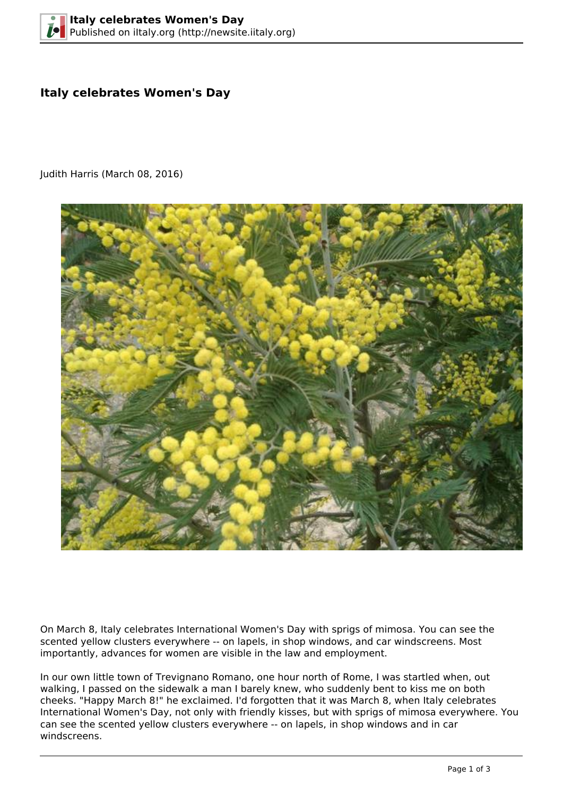## **Italy celebrates Women's Day**

Judith Harris (March 08, 2016)



On March 8, Italy celebrates International Women's Day with sprigs of mimosa. You can see the scented yellow clusters everywhere -- on lapels, in shop windows, and car windscreens. Most importantly, advances for women are visible in the law and employment.

In our own little town of Trevignano Romano, one hour north of Rome, I was startled when, out walking, I passed on the sidewalk a man I barely knew, who suddenly bent to kiss me on both cheeks. "Happy March 8!" he exclaimed. I'd forgotten that it was March 8, when Italy celebrates International Women's Day, not only with friendly kisses, but with sprigs of mimosa everywhere. You can see the scented yellow clusters everywhere -- on lapels, in shop windows and in car windscreens.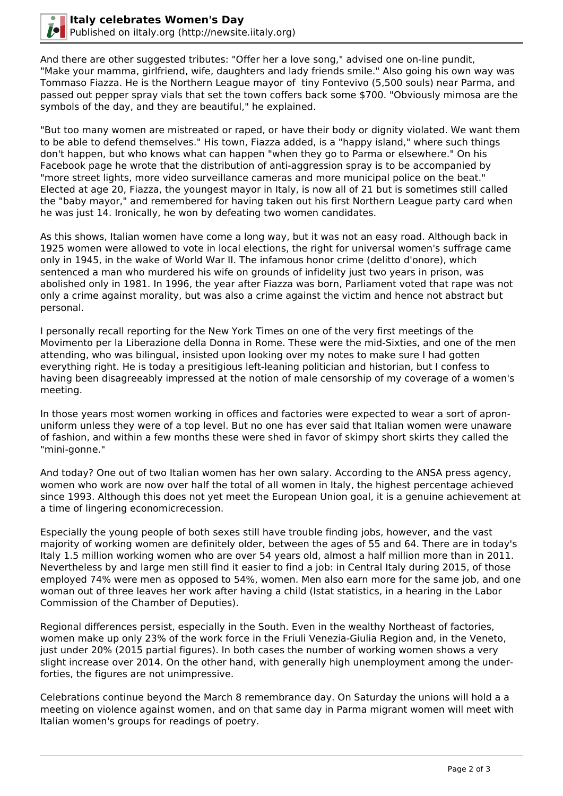

And there are other suggested tributes: "Offer her a love song," advised one on-line pundit, "Make your mamma, girlfriend, wife, daughters and lady friends smile." Also going his own way was Tommaso Fiazza. He is the Northern League mayor of tiny Fontevivo (5,500 souls) near Parma, and passed out pepper spray vials that set the town coffers back some \$700. "Obviously mimosa are the symbols of the day, and they are beautiful," he explained.

"But too many women are mistreated or raped, or have their body or dignity violated. We want them to be able to defend themselves." His town, Fiazza added, is a "happy island," where such things don't happen, but who knows what can happen "when they go to Parma or elsewhere." On his Facebook page he wrote that the distribution of anti-aggression spray is to be accompanied by "more street lights, more video surveillance cameras and more municipal police on the beat." Elected at age 20, Fiazza, the youngest mayor in Italy, is now all of 21 but is sometimes still called the "baby mayor," and remembered for having taken out his first Northern League party card when he was just 14. Ironically, he won by defeating two women candidates.

As this shows, Italian women have come a long way, but it was not an easy road. Although back in 1925 women were allowed to vote in local elections, the right for universal women's suffrage came only in 1945, in the wake of World War II. The infamous honor crime (delitto d'onore), which sentenced a man who murdered his wife on grounds of infidelity just two years in prison, was abolished only in 1981. In 1996, the year after Fiazza was born, Parliament voted that rape was not only a crime against morality, but was also a crime against the victim and hence not abstract but personal.

I personally recall reporting for the New York Times on one of the very first meetings of the Movimento per la Liberazione della Donna in Rome. These were the mid-Sixties, and one of the men attending, who was bilingual, insisted upon looking over my notes to make sure I had gotten everything right. He is today a presitigious left-leaning politician and historian, but I confess to having been disagreeably impressed at the notion of male censorship of my coverage of a women's meeting.

In those years most women working in offices and factories were expected to wear a sort of apronuniform unless they were of a top level. But no one has ever said that Italian women were unaware of fashion, and within a few months these were shed in favor of skimpy short skirts they called the "mini-gonne."

And today? One out of two Italian women has her own salary. According to the ANSA press agency, women who work are now over half the total of all women in Italy, the highest percentage achieved since 1993. Although this does not yet meet the European Union goal, it is a genuine achievement at a time of lingering economicrecession.

Especially the young people of both sexes still have trouble finding jobs, however, and the vast majority of working women are definitely older, between the ages of 55 and 64. There are in today's Italy 1.5 million working women who are over 54 years old, almost a half million more than in 2011. Nevertheless by and large men still find it easier to find a job: in Central Italy during 2015, of those employed 74% were men as opposed to 54%, women. Men also earn more for the same job, and one woman out of three leaves her work after having a child (Istat statistics, in a hearing in the Labor Commission of the Chamber of Deputies).

Regional differences persist, especially in the South. Even in the wealthy Northeast of factories, women make up only 23% of the work force in the Friuli Venezia-Giulia Region and, in the Veneto, just under 20% (2015 partial figures). In both cases the number of working women shows a very slight increase over 2014. On the other hand, with generally high unemployment among the underforties, the figures are not unimpressive.

Celebrations continue beyond the March 8 remembrance day. On Saturday the unions will hold a a meeting on violence against women, and on that same day in Parma migrant women will meet with Italian women's groups for readings of poetry.